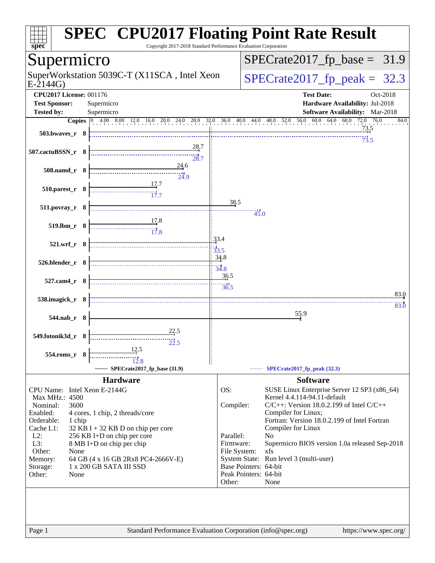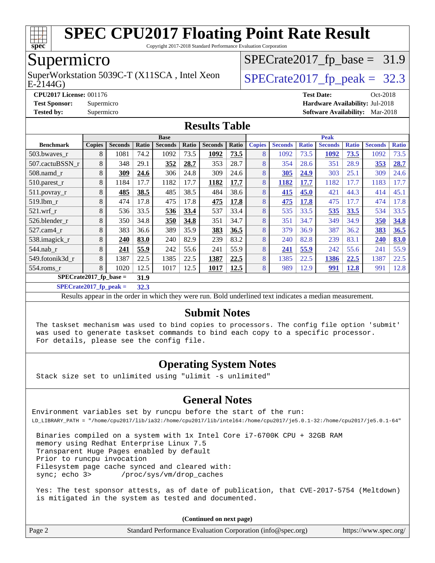

Copyright 2017-2018 Standard Performance Evaluation Corporation

### Supermicro

SuperWorkstation 5039C-T (X11SCA, Intel Xeon  $\big|$  [SPECrate2017\\_fp\\_peak =](http://www.spec.org/auto/cpu2017/Docs/result-fields.html#SPECrate2017fppeak) 32.3

 $SPECTate2017_fp\_base = 31.9$ 

E-2144G)

**[CPU2017 License:](http://www.spec.org/auto/cpu2017/Docs/result-fields.html#CPU2017License)** 001176 **[Test Date:](http://www.spec.org/auto/cpu2017/Docs/result-fields.html#TestDate)** Oct-2018 **[Test Sponsor:](http://www.spec.org/auto/cpu2017/Docs/result-fields.html#TestSponsor)** Supermicro **[Hardware Availability:](http://www.spec.org/auto/cpu2017/Docs/result-fields.html#HardwareAvailability)** Jul-2018 **[Tested by:](http://www.spec.org/auto/cpu2017/Docs/result-fields.html#Testedby)** Supermicro **[Software Availability:](http://www.spec.org/auto/cpu2017/Docs/result-fields.html#SoftwareAvailability)** Mar-2018

#### **[Results Table](http://www.spec.org/auto/cpu2017/Docs/result-fields.html#ResultsTable)**

|                          | <b>Base</b>   |                |       |                |       | <b>Peak</b>    |       |               |                |              |                |              |                |              |
|--------------------------|---------------|----------------|-------|----------------|-------|----------------|-------|---------------|----------------|--------------|----------------|--------------|----------------|--------------|
| <b>Benchmark</b>         | <b>Copies</b> | <b>Seconds</b> | Ratio | <b>Seconds</b> | Ratio | <b>Seconds</b> | Ratio | <b>Copies</b> | <b>Seconds</b> | <b>Ratio</b> | <b>Seconds</b> | <b>Ratio</b> | <b>Seconds</b> | <b>Ratio</b> |
| 503.bwaves_r             | 8             | 1081           | 74.2  | 1092           | 73.5  | 1092           | 73.5  | 8             | 1092           | 73.5         | 1092           | 73.5         | 1092           | 73.5         |
| 507.cactuBSSN r          | 8             | 348            | 29.1  | 352            | 28.7  | 353            | 28.7  | 8             | 354            | 28.6         | 351            | 28.9         | 353            | 28.7         |
| $508$ .namd $r$          | 8             | 309            | 24.6  | 306            | 24.8  | 309            | 24.6  | 8             | 305            | 24.9         | 303            | 25.1         | 309            | 24.6         |
| 510.parest_r             | 8             | 1184           | 17.7  | 1182           | 17.7  | 1182           | 17.7  | 8             | 1182           | 17.7         | 1182           | 17.7         | 1183           | 17.7         |
| $511.povray_r$           | 8             | 485            | 38.5  | 485            | 38.5  | 484            | 38.6  | 8             | 415            | 45.0         | 421            | 44.3         | 414            | 45.1         |
| 519.1bm r                | 8             | 474            | 17.8  | 475            | 17.8  | 475            | 17.8  | 8             | 475            | 17.8         | 475            | 17.7         | 474            | 17.8         |
| $521$ .wrf r             | 8             | 536            | 33.5  | 536            | 33.4  | 537            | 33.4  | 8             | 535            | 33.5         | 535            | 33.5         | 534            | 33.5         |
| 526.blender_r            | 8             | 350            | 34.8  | 350            | 34.8  | 351            | 34.7  | 8             | 351            | 34.7         | 349            | 34.9         | 350            | 34.8         |
| 527.cam4 r               | 8             | 383            | 36.6  | 389            | 35.9  | 383            | 36.5  | 8             | 379            | 36.9         | 387            | 36.2         | 383            | 36.5         |
| 538.imagick_r            | 8             | 240            | 83.0  | 240            | 82.9  | 239            | 83.2  | 8             | 240            | 82.8         | 239            | 83.1         | 240            | 83.0         |
| $544$ .nab_r             | 8             | 241            | 55.9  | 242            | 55.6  | 241            | 55.9  | 8             | 241            | 55.9         | 242            | 55.6         | 241            | 55.9         |
| 549.fotonik3d r          | 8             | 1387           | 22.5  | 1385           | 22.5  | 1387           | 22.5  | 8             | 1385           | 22.5         | 1386           | 22.5         | 1387           | 22.5         |
| 554.roms r               | 8             | 1020           | 12.5  | 1017           | 12.5  | 1017           | 12.5  | 8             | 989            | 12.9         | 991            | <u>12.8</u>  | 991            | 12.8         |
| $SPECrate2017$ fp base = |               |                | 31.9  |                |       |                |       |               |                |              |                |              |                |              |

**[SPECrate2017\\_fp\\_peak =](http://www.spec.org/auto/cpu2017/Docs/result-fields.html#SPECrate2017fppeak) 32.3**

Results appear in the [order in which they were run](http://www.spec.org/auto/cpu2017/Docs/result-fields.html#RunOrder). Bold underlined text [indicates a median measurement](http://www.spec.org/auto/cpu2017/Docs/result-fields.html#Median).

#### **[Submit Notes](http://www.spec.org/auto/cpu2017/Docs/result-fields.html#SubmitNotes)**

 The taskset mechanism was used to bind copies to processors. The config file option 'submit' was used to generate taskset commands to bind each copy to a specific processor. For details, please see the config file.

#### **[Operating System Notes](http://www.spec.org/auto/cpu2017/Docs/result-fields.html#OperatingSystemNotes)**

Stack size set to unlimited using "ulimit -s unlimited"

#### **[General Notes](http://www.spec.org/auto/cpu2017/Docs/result-fields.html#GeneralNotes)**

Environment variables set by runcpu before the start of the run: LD\_LIBRARY\_PATH = "/home/cpu2017/lib/ia32:/home/cpu2017/lib/intel64:/home/cpu2017/je5.0.1-32:/home/cpu2017/je5.0.1-64"

 Binaries compiled on a system with 1x Intel Core i7-6700K CPU + 32GB RAM memory using Redhat Enterprise Linux 7.5 Transparent Huge Pages enabled by default Prior to runcpu invocation Filesystem page cache synced and cleared with: sync; echo 3> /proc/sys/vm/drop\_caches

 Yes: The test sponsor attests, as of date of publication, that CVE-2017-5754 (Meltdown) is mitigated in the system as tested and documented.

| Page 2 | Standard Performance Evaluation Corporation (info@spec.org) | https://www.spec.org/ |
|--------|-------------------------------------------------------------|-----------------------|
|        |                                                             |                       |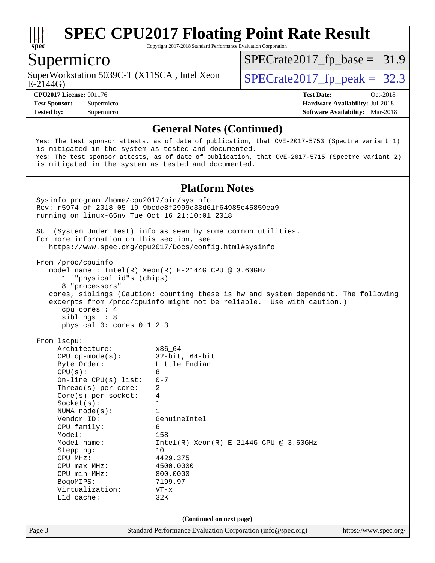

Copyright 2017-2018 Standard Performance Evaluation Corporation

#### Supermicro

SuperWorkstation 5039C-T (X11SCA, Intel Xeon  $\big|$  [SPECrate2017\\_fp\\_peak =](http://www.spec.org/auto/cpu2017/Docs/result-fields.html#SPECrate2017fppeak) 32.3

 $SPECTate2017_fp\_base = 31.9$ 

E-2144G)

**[CPU2017 License:](http://www.spec.org/auto/cpu2017/Docs/result-fields.html#CPU2017License)** 001176 **[Test Date:](http://www.spec.org/auto/cpu2017/Docs/result-fields.html#TestDate)** Oct-2018 **[Test Sponsor:](http://www.spec.org/auto/cpu2017/Docs/result-fields.html#TestSponsor)** Supermicro **[Hardware Availability:](http://www.spec.org/auto/cpu2017/Docs/result-fields.html#HardwareAvailability)** Jul-2018 **[Tested by:](http://www.spec.org/auto/cpu2017/Docs/result-fields.html#Testedby)** Supermicro **[Software Availability:](http://www.spec.org/auto/cpu2017/Docs/result-fields.html#SoftwareAvailability)** Mar-2018

#### **[General Notes \(Continued\)](http://www.spec.org/auto/cpu2017/Docs/result-fields.html#GeneralNotes)**

 Yes: The test sponsor attests, as of date of publication, that CVE-2017-5753 (Spectre variant 1) is mitigated in the system as tested and documented. Yes: The test sponsor attests, as of date of publication, that CVE-2017-5715 (Spectre variant 2) is mitigated in the system as tested and documented.

#### **[Platform Notes](http://www.spec.org/auto/cpu2017/Docs/result-fields.html#PlatformNotes)**

Page 3 Standard Performance Evaluation Corporation [\(info@spec.org\)](mailto:info@spec.org) <https://www.spec.org/> Sysinfo program /home/cpu2017/bin/sysinfo Rev: r5974 of 2018-05-19 9bcde8f2999c33d61f64985e45859ea9 running on linux-65nv Tue Oct 16 21:10:01 2018 SUT (System Under Test) info as seen by some common utilities. For more information on this section, see <https://www.spec.org/cpu2017/Docs/config.html#sysinfo> From /proc/cpuinfo model name : Intel(R) Xeon(R) E-2144G CPU @ 3.60GHz 1 "physical id"s (chips) 8 "processors" cores, siblings (Caution: counting these is hw and system dependent. The following excerpts from /proc/cpuinfo might not be reliable. Use with caution.) cpu cores : 4 siblings : 8 physical 0: cores 0 1 2 3 From lscpu: Architecture: x86\_64 CPU op-mode(s): 32-bit, 64-bit Byte Order: Little Endian  $CPU(s):$  8 On-line CPU(s) list: 0-7 Thread(s) per core: 2 Core(s) per socket: 4  $Sockets(s):$  1 NUMA node(s): 1 Vendor ID: GenuineIntel CPU family: 6 Model: 158 Model name:  $Intel(R)$  Xeon(R) E-2144G CPU @ 3.60GHz Stepping: 10 CPU MHz: 4429.375<br>
CPU max MHz: 4500.0000  $CPU$  max  $MHz$ : CPU min MHz: 800.0000 BogoMIPS: 7199.97 Virtualization: VT-x L1d cache: 32K **(Continued on next page)**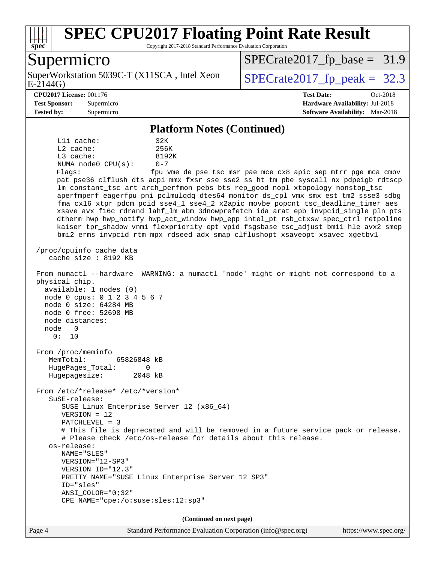

Copyright 2017-2018 Standard Performance Evaluation Corporation

#### Supermicro

E-2144G) SuperWorkstation 5039C-T (X11SCA, Intel Xeon  $\big|$  [SPECrate2017\\_fp\\_peak =](http://www.spec.org/auto/cpu2017/Docs/result-fields.html#SPECrate2017fppeak) 32.3

 $SPECTate2017_fp\_base = 31.9$ 

#### **[CPU2017 License:](http://www.spec.org/auto/cpu2017/Docs/result-fields.html#CPU2017License)** 001176 **[Test Date:](http://www.spec.org/auto/cpu2017/Docs/result-fields.html#TestDate)** Oct-2018

**[Test Sponsor:](http://www.spec.org/auto/cpu2017/Docs/result-fields.html#TestSponsor)** Supermicro **[Hardware Availability:](http://www.spec.org/auto/cpu2017/Docs/result-fields.html#HardwareAvailability)** Jul-2018 **[Tested by:](http://www.spec.org/auto/cpu2017/Docs/result-fields.html#Testedby)** Supermicro **[Software Availability:](http://www.spec.org/auto/cpu2017/Docs/result-fields.html#SoftwareAvailability)** Mar-2018

#### **[Platform Notes \(Continued\)](http://www.spec.org/auto/cpu2017/Docs/result-fields.html#PlatformNotes)**

L1i cache: 32K L2 cache: 256K L3 cache: 8192K NUMA node0 CPU(s): 0-7 Flags: fpu vme de pse tsc msr pae mce cx8 apic sep mtrr pge mca cmov

 pat pse36 clflush dts acpi mmx fxsr sse sse2 ss ht tm pbe syscall nx pdpe1gb rdtscp lm constant\_tsc art arch\_perfmon pebs bts rep\_good nopl xtopology nonstop\_tsc aperfmperf eagerfpu pni pclmulqdq dtes64 monitor ds\_cpl vmx smx est tm2 ssse3 sdbg fma cx16 xtpr pdcm pcid sse4\_1 sse4\_2 x2apic movbe popcnt tsc\_deadline\_timer aes xsave avx f16c rdrand lahf\_lm abm 3dnowprefetch ida arat epb invpcid\_single pln pts dtherm hwp hwp\_notify hwp\_act\_window hwp\_epp intel\_pt rsb\_ctxsw spec\_ctrl retpoline kaiser tpr\_shadow vnmi flexpriority ept vpid fsgsbase tsc\_adjust bmi1 hle avx2 smep bmi2 erms invpcid rtm mpx rdseed adx smap clflushopt xsaveopt xsavec xgetbv1

 /proc/cpuinfo cache data cache size : 8192 KB

 From numactl --hardware WARNING: a numactl 'node' might or might not correspond to a physical chip.

 available: 1 nodes (0) node 0 cpus: 0 1 2 3 4 5 6 7 node 0 size: 64284 MB node 0 free: 52698 MB node distances: node 0

 From /proc/meminfo MemTotal: 65826848 kB HugePages\_Total: 0 Hugepagesize: 2048 kB

From /etc/\*release\* /etc/\*version\*

 SuSE-release: SUSE Linux Enterprise Server 12 (x86\_64)

VERSION = 12

0: 10

PATCHLEVEL = 3

 # This file is deprecated and will be removed in a future service pack or release. # Please check /etc/os-release for details about this release.

 os-release: NAME="SLES" VERSION="12-SP3"

 VERSION\_ID="12.3" PRETTY\_NAME="SUSE Linux Enterprise Server 12 SP3" ID="sles"

 ANSI\_COLOR="0;32" CPE\_NAME="cpe:/o:suse:sles:12:sp3"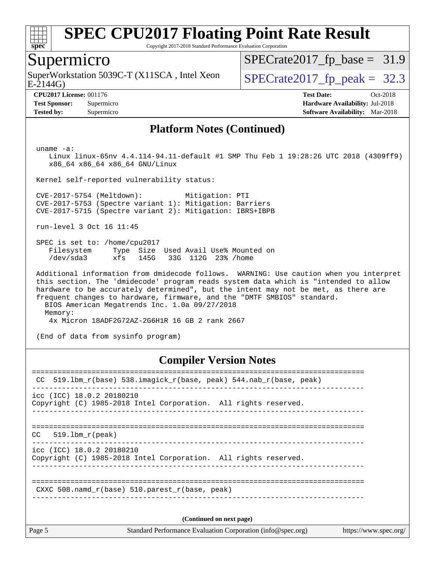

Copyright 2017-2018 Standard Performance Evaluation Corporation

#### Supermicro

E-2144G) SuperWorkstation 5039C-T (X11SCA, Intel Xeon  $\big|$  [SPECrate2017\\_fp\\_peak =](http://www.spec.org/auto/cpu2017/Docs/result-fields.html#SPECrate2017fppeak) 32.3

 $SPECTate2017_fp\_base = 31.9$ 

**[Tested by:](http://www.spec.org/auto/cpu2017/Docs/result-fields.html#Testedby)** Supermicro **[Software Availability:](http://www.spec.org/auto/cpu2017/Docs/result-fields.html#SoftwareAvailability)** Mar-2018

**[CPU2017 License:](http://www.spec.org/auto/cpu2017/Docs/result-fields.html#CPU2017License)** 001176 **[Test Date:](http://www.spec.org/auto/cpu2017/Docs/result-fields.html#TestDate)** Oct-2018 **[Test Sponsor:](http://www.spec.org/auto/cpu2017/Docs/result-fields.html#TestSponsor)** Supermicro **[Hardware Availability:](http://www.spec.org/auto/cpu2017/Docs/result-fields.html#HardwareAvailability)** Jul-2018

#### **[Platform Notes \(Continued\)](http://www.spec.org/auto/cpu2017/Docs/result-fields.html#PlatformNotes)**

uname -a:

 Linux linux-65nv 4.4.114-94.11-default #1 SMP Thu Feb 1 19:28:26 UTC 2018 (4309ff9) x86\_64 x86\_64 x86\_64 GNU/Linux

Kernel self-reported vulnerability status:

 CVE-2017-5754 (Meltdown): Mitigation: PTI CVE-2017-5753 (Spectre variant 1): Mitigation: Barriers CVE-2017-5715 (Spectre variant 2): Mitigation: IBRS+IBPB

run-level 3 Oct 16 11:45

 SPEC is set to: /home/cpu2017 Filesystem Type Size Used Avail Use% Mounted on /dev/sda3 xfs 145G 33G 112G 23% /home

 Additional information from dmidecode follows. WARNING: Use caution when you interpret this section. The 'dmidecode' program reads system data which is "intended to allow hardware to be accurately determined", but the intent may not be met, as there are frequent changes to hardware, firmware, and the "DMTF SMBIOS" standard. BIOS American Megatrends Inc. 1.0a 09/27/2018 Memory: 4x Micron 18ADF2G72AZ-2G6H1R 16 GB 2 rank 2667

(End of data from sysinfo program)

#### **[Compiler Version Notes](http://www.spec.org/auto/cpu2017/Docs/result-fields.html#CompilerVersionNotes)**

| icc (ICC) 18.0.2 20180210<br>Copyright (C) 1985-2018 Intel Corporation. All rights reserved.<br>519.1bm r(peak)<br>CC.<br>$\text{icc}$ (ICC) 18.0.2 20180210<br>Copyright (C) 1985-2018 Intel Corporation. All rights reserved.<br>CXXC 508. namd $r(base)$ 510. parest $r(base, peak)$<br>(Continued on next page) | Page 5 |
|---------------------------------------------------------------------------------------------------------------------------------------------------------------------------------------------------------------------------------------------------------------------------------------------------------------------|--------|
|                                                                                                                                                                                                                                                                                                                     |        |
|                                                                                                                                                                                                                                                                                                                     |        |
|                                                                                                                                                                                                                                                                                                                     |        |
|                                                                                                                                                                                                                                                                                                                     |        |
|                                                                                                                                                                                                                                                                                                                     |        |
| 519.1bm_r(base) 538.imagick_r(base, peak) 544.nab_r(base, peak)<br>CC.                                                                                                                                                                                                                                              |        |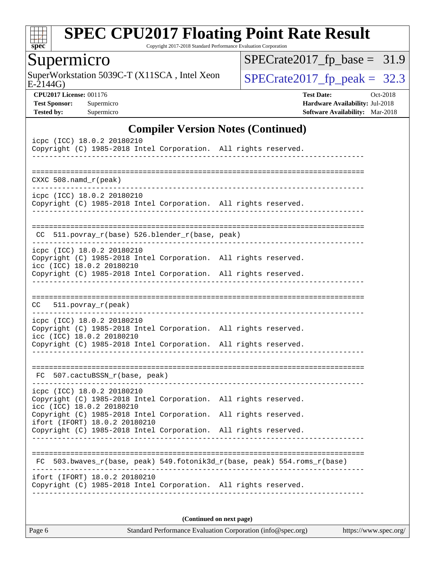

Copyright 2017-2018 Standard Performance Evaluation Corporation

## Supermicro

E-2144G) SuperWorkstation 5039C-T (X11SCA, Intel Xeon  $SPECrate2017_fp\_peak = 32.3$ 

[SPECrate2017\\_fp\\_base =](http://www.spec.org/auto/cpu2017/Docs/result-fields.html#SPECrate2017fpbase) 31.9

**[CPU2017 License:](http://www.spec.org/auto/cpu2017/Docs/result-fields.html#CPU2017License)** 001176 **[Test Date:](http://www.spec.org/auto/cpu2017/Docs/result-fields.html#TestDate)** Oct-2018 **[Test Sponsor:](http://www.spec.org/auto/cpu2017/Docs/result-fields.html#TestSponsor)** Supermicro **[Hardware Availability:](http://www.spec.org/auto/cpu2017/Docs/result-fields.html#HardwareAvailability)** Jul-2018 **[Tested by:](http://www.spec.org/auto/cpu2017/Docs/result-fields.html#Testedby)** Supermicro **[Software Availability:](http://www.spec.org/auto/cpu2017/Docs/result-fields.html#SoftwareAvailability)** Mar-2018

#### **[Compiler Version Notes \(Continued\)](http://www.spec.org/auto/cpu2017/Docs/result-fields.html#CompilerVersionNotes)**

| icpc (ICC) 18.0.2 20180210<br>Copyright (C) 1985-2018 Intel Corporation. All rights reserved.    |  |  |
|--------------------------------------------------------------------------------------------------|--|--|
|                                                                                                  |  |  |
|                                                                                                  |  |  |
| $CXXC 508.namd_r (peak)$                                                                         |  |  |
| icpc (ICC) 18.0.2 20180210<br>Copyright (C) 1985-2018 Intel Corporation. All rights reserved.    |  |  |
|                                                                                                  |  |  |
| 511.povray_r(base) 526.blender_r(base, peak)<br>CC.                                              |  |  |
| icpc (ICC) 18.0.2 20180210<br>Copyright (C) 1985-2018 Intel Corporation. All rights reserved.    |  |  |
| icc (ICC) 18.0.2 20180210                                                                        |  |  |
| Copyright (C) 1985-2018 Intel Corporation. All rights reserved.                                  |  |  |
|                                                                                                  |  |  |
| $511. povray_r (peak)$<br>CC                                                                     |  |  |
| icpc (ICC) 18.0.2 20180210                                                                       |  |  |
| Copyright (C) 1985-2018 Intel Corporation. All rights reserved.<br>icc (ICC) 18.0.2 20180210     |  |  |
| Copyright (C) 1985-2018 Intel Corporation. All rights reserved.                                  |  |  |
|                                                                                                  |  |  |
| FC 507.cactuBSSN_r(base, peak)                                                                   |  |  |
| icpc (ICC) 18.0.2 20180210                                                                       |  |  |
| Copyright (C) 1985-2018 Intel Corporation. All rights reserved.<br>icc (ICC) 18.0.2 20180210     |  |  |
| Copyright (C) 1985-2018 Intel Corporation. All rights reserved.<br>ifort (IFORT) 18.0.2 20180210 |  |  |
| Copyright (C) 1985-2018 Intel Corporation. All rights reserved.                                  |  |  |
|                                                                                                  |  |  |
| 503.bwaves_r(base, peak) 549.fotonik3d_r(base, peak) 554.roms_r(base)<br>FC                      |  |  |
| ifort (IFORT) 18.0.2 20180210                                                                    |  |  |
| Copyright (C) 1985-2018 Intel Corporation. All rights reserved.                                  |  |  |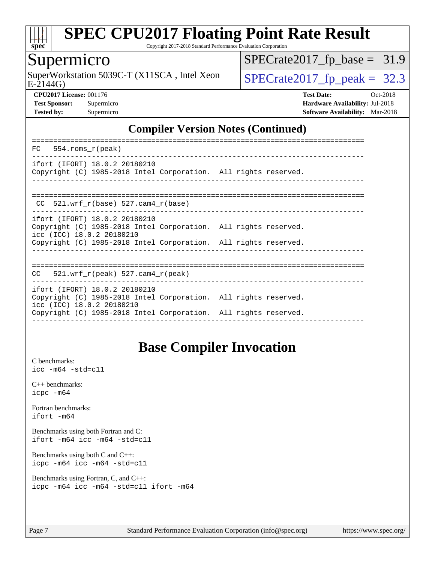

Copyright 2017-2018 Standard Performance Evaluation Corporation

#### Supermicro

E-2144G) SuperWorkstation 5039C-T (X11SCA, Intel Xeon  $\big|$  [SPECrate2017\\_fp\\_peak =](http://www.spec.org/auto/cpu2017/Docs/result-fields.html#SPECrate2017fppeak) 32.3

[SPECrate2017\\_fp\\_base =](http://www.spec.org/auto/cpu2017/Docs/result-fields.html#SPECrate2017fpbase) 31.9

**[CPU2017 License:](http://www.spec.org/auto/cpu2017/Docs/result-fields.html#CPU2017License)** 001176 **[Test Date:](http://www.spec.org/auto/cpu2017/Docs/result-fields.html#TestDate)** Oct-2018 **[Test Sponsor:](http://www.spec.org/auto/cpu2017/Docs/result-fields.html#TestSponsor)** Supermicro **[Hardware Availability:](http://www.spec.org/auto/cpu2017/Docs/result-fields.html#HardwareAvailability)** Jul-2018 **[Tested by:](http://www.spec.org/auto/cpu2017/Docs/result-fields.html#Testedby)** Supermicro **[Software Availability:](http://www.spec.org/auto/cpu2017/Docs/result-fields.html#SoftwareAvailability)** Mar-2018

#### **[Compiler Version Notes \(Continued\)](http://www.spec.org/auto/cpu2017/Docs/result-fields.html#CompilerVersionNotes)**

| FC<br>554.roms r(peak)                                                                                                                                                                           |  |
|--------------------------------------------------------------------------------------------------------------------------------------------------------------------------------------------------|--|
| ifort (IFORT) 18.0.2 20180210<br>Copyright (C) 1985-2018 Intel Corporation. All rights reserved.                                                                                                 |  |
| 521.wrf $r(base)$ 527.cam4 $r(base)$<br>CC                                                                                                                                                       |  |
| ifort (IFORT) 18.0.2 20180210<br>Copyright (C) 1985-2018 Intel Corporation. All rights reserved.<br>icc (ICC) 18.0.2 20180210<br>Copyright (C) 1985-2018 Intel Corporation. All rights reserved. |  |
| 521.wrf $r(\text{peak})$ 527.cam4 $r(\text{peak})$<br>CC                                                                                                                                         |  |
| ifort (IFORT) 18.0.2 20180210<br>Copyright (C) 1985-2018 Intel Corporation. All rights reserved.<br>icc (ICC) 18.0.2 20180210<br>Copyright (C) 1985-2018 Intel Corporation. All rights reserved. |  |
|                                                                                                                                                                                                  |  |

#### **[Base Compiler Invocation](http://www.spec.org/auto/cpu2017/Docs/result-fields.html#BaseCompilerInvocation)**

[C benchmarks](http://www.spec.org/auto/cpu2017/Docs/result-fields.html#Cbenchmarks): [icc -m64 -std=c11](http://www.spec.org/cpu2017/results/res2018q4/cpu2017-20181029-09418.flags.html#user_CCbase_intel_icc_64bit_c11_33ee0cdaae7deeeab2a9725423ba97205ce30f63b9926c2519791662299b76a0318f32ddfffdc46587804de3178b4f9328c46fa7c2b0cd779d7a61945c91cd35)

[C++ benchmarks:](http://www.spec.org/auto/cpu2017/Docs/result-fields.html#CXXbenchmarks) [icpc -m64](http://www.spec.org/cpu2017/results/res2018q4/cpu2017-20181029-09418.flags.html#user_CXXbase_intel_icpc_64bit_4ecb2543ae3f1412ef961e0650ca070fec7b7afdcd6ed48761b84423119d1bf6bdf5cad15b44d48e7256388bc77273b966e5eb805aefd121eb22e9299b2ec9d9)

[Fortran benchmarks](http://www.spec.org/auto/cpu2017/Docs/result-fields.html#Fortranbenchmarks): [ifort -m64](http://www.spec.org/cpu2017/results/res2018q4/cpu2017-20181029-09418.flags.html#user_FCbase_intel_ifort_64bit_24f2bb282fbaeffd6157abe4f878425411749daecae9a33200eee2bee2fe76f3b89351d69a8130dd5949958ce389cf37ff59a95e7a40d588e8d3a57e0c3fd751)

[Benchmarks using both Fortran and C](http://www.spec.org/auto/cpu2017/Docs/result-fields.html#BenchmarksusingbothFortranandC): [ifort -m64](http://www.spec.org/cpu2017/results/res2018q4/cpu2017-20181029-09418.flags.html#user_CC_FCbase_intel_ifort_64bit_24f2bb282fbaeffd6157abe4f878425411749daecae9a33200eee2bee2fe76f3b89351d69a8130dd5949958ce389cf37ff59a95e7a40d588e8d3a57e0c3fd751) [icc -m64 -std=c11](http://www.spec.org/cpu2017/results/res2018q4/cpu2017-20181029-09418.flags.html#user_CC_FCbase_intel_icc_64bit_c11_33ee0cdaae7deeeab2a9725423ba97205ce30f63b9926c2519791662299b76a0318f32ddfffdc46587804de3178b4f9328c46fa7c2b0cd779d7a61945c91cd35)

[Benchmarks using both C and C++](http://www.spec.org/auto/cpu2017/Docs/result-fields.html#BenchmarksusingbothCandCXX): [icpc -m64](http://www.spec.org/cpu2017/results/res2018q4/cpu2017-20181029-09418.flags.html#user_CC_CXXbase_intel_icpc_64bit_4ecb2543ae3f1412ef961e0650ca070fec7b7afdcd6ed48761b84423119d1bf6bdf5cad15b44d48e7256388bc77273b966e5eb805aefd121eb22e9299b2ec9d9) [icc -m64 -std=c11](http://www.spec.org/cpu2017/results/res2018q4/cpu2017-20181029-09418.flags.html#user_CC_CXXbase_intel_icc_64bit_c11_33ee0cdaae7deeeab2a9725423ba97205ce30f63b9926c2519791662299b76a0318f32ddfffdc46587804de3178b4f9328c46fa7c2b0cd779d7a61945c91cd35)

[Benchmarks using Fortran, C, and C++:](http://www.spec.org/auto/cpu2017/Docs/result-fields.html#BenchmarksusingFortranCandCXX) [icpc -m64](http://www.spec.org/cpu2017/results/res2018q4/cpu2017-20181029-09418.flags.html#user_CC_CXX_FCbase_intel_icpc_64bit_4ecb2543ae3f1412ef961e0650ca070fec7b7afdcd6ed48761b84423119d1bf6bdf5cad15b44d48e7256388bc77273b966e5eb805aefd121eb22e9299b2ec9d9) [icc -m64 -std=c11](http://www.spec.org/cpu2017/results/res2018q4/cpu2017-20181029-09418.flags.html#user_CC_CXX_FCbase_intel_icc_64bit_c11_33ee0cdaae7deeeab2a9725423ba97205ce30f63b9926c2519791662299b76a0318f32ddfffdc46587804de3178b4f9328c46fa7c2b0cd779d7a61945c91cd35) [ifort -m64](http://www.spec.org/cpu2017/results/res2018q4/cpu2017-20181029-09418.flags.html#user_CC_CXX_FCbase_intel_ifort_64bit_24f2bb282fbaeffd6157abe4f878425411749daecae9a33200eee2bee2fe76f3b89351d69a8130dd5949958ce389cf37ff59a95e7a40d588e8d3a57e0c3fd751)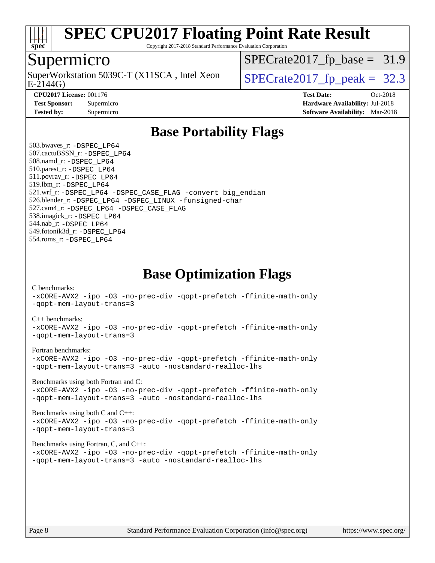

Copyright 2017-2018 Standard Performance Evaluation Corporation

#### Supermicro

SuperWorkstation 5039C-T (X11SCA, Intel Xeon<br>E-2144G)

 $SPECrate2017_fp\_base = 31.9$ 

**[Tested by:](http://www.spec.org/auto/cpu2017/Docs/result-fields.html#Testedby)** Supermicro **[Software Availability:](http://www.spec.org/auto/cpu2017/Docs/result-fields.html#SoftwareAvailability)** Mar-2018

 $SPECTate 2017_f p_peak = 32.3$ 

**[CPU2017 License:](http://www.spec.org/auto/cpu2017/Docs/result-fields.html#CPU2017License)** 001176 **[Test Date:](http://www.spec.org/auto/cpu2017/Docs/result-fields.html#TestDate)** Oct-2018 **[Test Sponsor:](http://www.spec.org/auto/cpu2017/Docs/result-fields.html#TestSponsor)** Supermicro **[Hardware Availability:](http://www.spec.org/auto/cpu2017/Docs/result-fields.html#HardwareAvailability)** Jul-2018

### **[Base Portability Flags](http://www.spec.org/auto/cpu2017/Docs/result-fields.html#BasePortabilityFlags)**

 503.bwaves\_r: [-DSPEC\\_LP64](http://www.spec.org/cpu2017/results/res2018q4/cpu2017-20181029-09418.flags.html#suite_basePORTABILITY503_bwaves_r_DSPEC_LP64) 507.cactuBSSN\_r: [-DSPEC\\_LP64](http://www.spec.org/cpu2017/results/res2018q4/cpu2017-20181029-09418.flags.html#suite_basePORTABILITY507_cactuBSSN_r_DSPEC_LP64) 508.namd\_r: [-DSPEC\\_LP64](http://www.spec.org/cpu2017/results/res2018q4/cpu2017-20181029-09418.flags.html#suite_basePORTABILITY508_namd_r_DSPEC_LP64) 510.parest\_r: [-DSPEC\\_LP64](http://www.spec.org/cpu2017/results/res2018q4/cpu2017-20181029-09418.flags.html#suite_basePORTABILITY510_parest_r_DSPEC_LP64) 511.povray\_r: [-DSPEC\\_LP64](http://www.spec.org/cpu2017/results/res2018q4/cpu2017-20181029-09418.flags.html#suite_basePORTABILITY511_povray_r_DSPEC_LP64) 519.lbm\_r: [-DSPEC\\_LP64](http://www.spec.org/cpu2017/results/res2018q4/cpu2017-20181029-09418.flags.html#suite_basePORTABILITY519_lbm_r_DSPEC_LP64) 521.wrf\_r: [-DSPEC\\_LP64](http://www.spec.org/cpu2017/results/res2018q4/cpu2017-20181029-09418.flags.html#suite_basePORTABILITY521_wrf_r_DSPEC_LP64) [-DSPEC\\_CASE\\_FLAG](http://www.spec.org/cpu2017/results/res2018q4/cpu2017-20181029-09418.flags.html#b521.wrf_r_baseCPORTABILITY_DSPEC_CASE_FLAG) [-convert big\\_endian](http://www.spec.org/cpu2017/results/res2018q4/cpu2017-20181029-09418.flags.html#user_baseFPORTABILITY521_wrf_r_convert_big_endian_c3194028bc08c63ac5d04de18c48ce6d347e4e562e8892b8bdbdc0214820426deb8554edfa529a3fb25a586e65a3d812c835984020483e7e73212c4d31a38223) 526.blender\_r: [-DSPEC\\_LP64](http://www.spec.org/cpu2017/results/res2018q4/cpu2017-20181029-09418.flags.html#suite_basePORTABILITY526_blender_r_DSPEC_LP64) [-DSPEC\\_LINUX](http://www.spec.org/cpu2017/results/res2018q4/cpu2017-20181029-09418.flags.html#b526.blender_r_baseCPORTABILITY_DSPEC_LINUX) [-funsigned-char](http://www.spec.org/cpu2017/results/res2018q4/cpu2017-20181029-09418.flags.html#user_baseCPORTABILITY526_blender_r_force_uchar_40c60f00ab013830e2dd6774aeded3ff59883ba5a1fc5fc14077f794d777847726e2a5858cbc7672e36e1b067e7e5c1d9a74f7176df07886a243d7cc18edfe67) 527.cam4\_r: [-DSPEC\\_LP64](http://www.spec.org/cpu2017/results/res2018q4/cpu2017-20181029-09418.flags.html#suite_basePORTABILITY527_cam4_r_DSPEC_LP64) [-DSPEC\\_CASE\\_FLAG](http://www.spec.org/cpu2017/results/res2018q4/cpu2017-20181029-09418.flags.html#b527.cam4_r_baseCPORTABILITY_DSPEC_CASE_FLAG) 538.imagick\_r: [-DSPEC\\_LP64](http://www.spec.org/cpu2017/results/res2018q4/cpu2017-20181029-09418.flags.html#suite_basePORTABILITY538_imagick_r_DSPEC_LP64) 544.nab\_r: [-DSPEC\\_LP64](http://www.spec.org/cpu2017/results/res2018q4/cpu2017-20181029-09418.flags.html#suite_basePORTABILITY544_nab_r_DSPEC_LP64) 549.fotonik3d\_r: [-DSPEC\\_LP64](http://www.spec.org/cpu2017/results/res2018q4/cpu2017-20181029-09418.flags.html#suite_basePORTABILITY549_fotonik3d_r_DSPEC_LP64) 554.roms\_r: [-DSPEC\\_LP64](http://www.spec.org/cpu2017/results/res2018q4/cpu2017-20181029-09418.flags.html#suite_basePORTABILITY554_roms_r_DSPEC_LP64)

**[Base Optimization Flags](http://www.spec.org/auto/cpu2017/Docs/result-fields.html#BaseOptimizationFlags)**

[C benchmarks](http://www.spec.org/auto/cpu2017/Docs/result-fields.html#Cbenchmarks):

[-xCORE-AVX2](http://www.spec.org/cpu2017/results/res2018q4/cpu2017-20181029-09418.flags.html#user_CCbase_f-xCORE-AVX2) [-ipo](http://www.spec.org/cpu2017/results/res2018q4/cpu2017-20181029-09418.flags.html#user_CCbase_f-ipo) [-O3](http://www.spec.org/cpu2017/results/res2018q4/cpu2017-20181029-09418.flags.html#user_CCbase_f-O3) [-no-prec-div](http://www.spec.org/cpu2017/results/res2018q4/cpu2017-20181029-09418.flags.html#user_CCbase_f-no-prec-div) [-qopt-prefetch](http://www.spec.org/cpu2017/results/res2018q4/cpu2017-20181029-09418.flags.html#user_CCbase_f-qopt-prefetch) [-ffinite-math-only](http://www.spec.org/cpu2017/results/res2018q4/cpu2017-20181029-09418.flags.html#user_CCbase_f_finite_math_only_cb91587bd2077682c4b38af759c288ed7c732db004271a9512da14a4f8007909a5f1427ecbf1a0fb78ff2a814402c6114ac565ca162485bbcae155b5e4258871) [-qopt-mem-layout-trans=3](http://www.spec.org/cpu2017/results/res2018q4/cpu2017-20181029-09418.flags.html#user_CCbase_f-qopt-mem-layout-trans_de80db37974c74b1f0e20d883f0b675c88c3b01e9d123adea9b28688d64333345fb62bc4a798493513fdb68f60282f9a726aa07f478b2f7113531aecce732043)

#### [C++ benchmarks:](http://www.spec.org/auto/cpu2017/Docs/result-fields.html#CXXbenchmarks)

[-xCORE-AVX2](http://www.spec.org/cpu2017/results/res2018q4/cpu2017-20181029-09418.flags.html#user_CXXbase_f-xCORE-AVX2) [-ipo](http://www.spec.org/cpu2017/results/res2018q4/cpu2017-20181029-09418.flags.html#user_CXXbase_f-ipo) [-O3](http://www.spec.org/cpu2017/results/res2018q4/cpu2017-20181029-09418.flags.html#user_CXXbase_f-O3) [-no-prec-div](http://www.spec.org/cpu2017/results/res2018q4/cpu2017-20181029-09418.flags.html#user_CXXbase_f-no-prec-div) [-qopt-prefetch](http://www.spec.org/cpu2017/results/res2018q4/cpu2017-20181029-09418.flags.html#user_CXXbase_f-qopt-prefetch) [-ffinite-math-only](http://www.spec.org/cpu2017/results/res2018q4/cpu2017-20181029-09418.flags.html#user_CXXbase_f_finite_math_only_cb91587bd2077682c4b38af759c288ed7c732db004271a9512da14a4f8007909a5f1427ecbf1a0fb78ff2a814402c6114ac565ca162485bbcae155b5e4258871) [-qopt-mem-layout-trans=3](http://www.spec.org/cpu2017/results/res2018q4/cpu2017-20181029-09418.flags.html#user_CXXbase_f-qopt-mem-layout-trans_de80db37974c74b1f0e20d883f0b675c88c3b01e9d123adea9b28688d64333345fb62bc4a798493513fdb68f60282f9a726aa07f478b2f7113531aecce732043)

#### [Fortran benchmarks](http://www.spec.org/auto/cpu2017/Docs/result-fields.html#Fortranbenchmarks):

[-xCORE-AVX2](http://www.spec.org/cpu2017/results/res2018q4/cpu2017-20181029-09418.flags.html#user_FCbase_f-xCORE-AVX2) [-ipo](http://www.spec.org/cpu2017/results/res2018q4/cpu2017-20181029-09418.flags.html#user_FCbase_f-ipo) [-O3](http://www.spec.org/cpu2017/results/res2018q4/cpu2017-20181029-09418.flags.html#user_FCbase_f-O3) [-no-prec-div](http://www.spec.org/cpu2017/results/res2018q4/cpu2017-20181029-09418.flags.html#user_FCbase_f-no-prec-div) [-qopt-prefetch](http://www.spec.org/cpu2017/results/res2018q4/cpu2017-20181029-09418.flags.html#user_FCbase_f-qopt-prefetch) [-ffinite-math-only](http://www.spec.org/cpu2017/results/res2018q4/cpu2017-20181029-09418.flags.html#user_FCbase_f_finite_math_only_cb91587bd2077682c4b38af759c288ed7c732db004271a9512da14a4f8007909a5f1427ecbf1a0fb78ff2a814402c6114ac565ca162485bbcae155b5e4258871) [-qopt-mem-layout-trans=3](http://www.spec.org/cpu2017/results/res2018q4/cpu2017-20181029-09418.flags.html#user_FCbase_f-qopt-mem-layout-trans_de80db37974c74b1f0e20d883f0b675c88c3b01e9d123adea9b28688d64333345fb62bc4a798493513fdb68f60282f9a726aa07f478b2f7113531aecce732043) [-auto](http://www.spec.org/cpu2017/results/res2018q4/cpu2017-20181029-09418.flags.html#user_FCbase_f-auto) [-nostandard-realloc-lhs](http://www.spec.org/cpu2017/results/res2018q4/cpu2017-20181029-09418.flags.html#user_FCbase_f_2003_std_realloc_82b4557e90729c0f113870c07e44d33d6f5a304b4f63d4c15d2d0f1fab99f5daaed73bdb9275d9ae411527f28b936061aa8b9c8f2d63842963b95c9dd6426b8a)

[Benchmarks using both Fortran and C](http://www.spec.org/auto/cpu2017/Docs/result-fields.html#BenchmarksusingbothFortranandC):

[-xCORE-AVX2](http://www.spec.org/cpu2017/results/res2018q4/cpu2017-20181029-09418.flags.html#user_CC_FCbase_f-xCORE-AVX2) [-ipo](http://www.spec.org/cpu2017/results/res2018q4/cpu2017-20181029-09418.flags.html#user_CC_FCbase_f-ipo) [-O3](http://www.spec.org/cpu2017/results/res2018q4/cpu2017-20181029-09418.flags.html#user_CC_FCbase_f-O3) [-no-prec-div](http://www.spec.org/cpu2017/results/res2018q4/cpu2017-20181029-09418.flags.html#user_CC_FCbase_f-no-prec-div) [-qopt-prefetch](http://www.spec.org/cpu2017/results/res2018q4/cpu2017-20181029-09418.flags.html#user_CC_FCbase_f-qopt-prefetch) [-ffinite-math-only](http://www.spec.org/cpu2017/results/res2018q4/cpu2017-20181029-09418.flags.html#user_CC_FCbase_f_finite_math_only_cb91587bd2077682c4b38af759c288ed7c732db004271a9512da14a4f8007909a5f1427ecbf1a0fb78ff2a814402c6114ac565ca162485bbcae155b5e4258871) [-qopt-mem-layout-trans=3](http://www.spec.org/cpu2017/results/res2018q4/cpu2017-20181029-09418.flags.html#user_CC_FCbase_f-qopt-mem-layout-trans_de80db37974c74b1f0e20d883f0b675c88c3b01e9d123adea9b28688d64333345fb62bc4a798493513fdb68f60282f9a726aa07f478b2f7113531aecce732043) [-auto](http://www.spec.org/cpu2017/results/res2018q4/cpu2017-20181029-09418.flags.html#user_CC_FCbase_f-auto) [-nostandard-realloc-lhs](http://www.spec.org/cpu2017/results/res2018q4/cpu2017-20181029-09418.flags.html#user_CC_FCbase_f_2003_std_realloc_82b4557e90729c0f113870c07e44d33d6f5a304b4f63d4c15d2d0f1fab99f5daaed73bdb9275d9ae411527f28b936061aa8b9c8f2d63842963b95c9dd6426b8a)

[Benchmarks using both C and C++](http://www.spec.org/auto/cpu2017/Docs/result-fields.html#BenchmarksusingbothCandCXX): [-xCORE-AVX2](http://www.spec.org/cpu2017/results/res2018q4/cpu2017-20181029-09418.flags.html#user_CC_CXXbase_f-xCORE-AVX2) [-ipo](http://www.spec.org/cpu2017/results/res2018q4/cpu2017-20181029-09418.flags.html#user_CC_CXXbase_f-ipo) [-O3](http://www.spec.org/cpu2017/results/res2018q4/cpu2017-20181029-09418.flags.html#user_CC_CXXbase_f-O3) [-no-prec-div](http://www.spec.org/cpu2017/results/res2018q4/cpu2017-20181029-09418.flags.html#user_CC_CXXbase_f-no-prec-div) [-qopt-prefetch](http://www.spec.org/cpu2017/results/res2018q4/cpu2017-20181029-09418.flags.html#user_CC_CXXbase_f-qopt-prefetch) [-ffinite-math-only](http://www.spec.org/cpu2017/results/res2018q4/cpu2017-20181029-09418.flags.html#user_CC_CXXbase_f_finite_math_only_cb91587bd2077682c4b38af759c288ed7c732db004271a9512da14a4f8007909a5f1427ecbf1a0fb78ff2a814402c6114ac565ca162485bbcae155b5e4258871) [-qopt-mem-layout-trans=3](http://www.spec.org/cpu2017/results/res2018q4/cpu2017-20181029-09418.flags.html#user_CC_CXXbase_f-qopt-mem-layout-trans_de80db37974c74b1f0e20d883f0b675c88c3b01e9d123adea9b28688d64333345fb62bc4a798493513fdb68f60282f9a726aa07f478b2f7113531aecce732043)

#### [Benchmarks using Fortran, C, and C++:](http://www.spec.org/auto/cpu2017/Docs/result-fields.html#BenchmarksusingFortranCandCXX)

[-xCORE-AVX2](http://www.spec.org/cpu2017/results/res2018q4/cpu2017-20181029-09418.flags.html#user_CC_CXX_FCbase_f-xCORE-AVX2) [-ipo](http://www.spec.org/cpu2017/results/res2018q4/cpu2017-20181029-09418.flags.html#user_CC_CXX_FCbase_f-ipo) [-O3](http://www.spec.org/cpu2017/results/res2018q4/cpu2017-20181029-09418.flags.html#user_CC_CXX_FCbase_f-O3) [-no-prec-div](http://www.spec.org/cpu2017/results/res2018q4/cpu2017-20181029-09418.flags.html#user_CC_CXX_FCbase_f-no-prec-div) [-qopt-prefetch](http://www.spec.org/cpu2017/results/res2018q4/cpu2017-20181029-09418.flags.html#user_CC_CXX_FCbase_f-qopt-prefetch) [-ffinite-math-only](http://www.spec.org/cpu2017/results/res2018q4/cpu2017-20181029-09418.flags.html#user_CC_CXX_FCbase_f_finite_math_only_cb91587bd2077682c4b38af759c288ed7c732db004271a9512da14a4f8007909a5f1427ecbf1a0fb78ff2a814402c6114ac565ca162485bbcae155b5e4258871) [-qopt-mem-layout-trans=3](http://www.spec.org/cpu2017/results/res2018q4/cpu2017-20181029-09418.flags.html#user_CC_CXX_FCbase_f-qopt-mem-layout-trans_de80db37974c74b1f0e20d883f0b675c88c3b01e9d123adea9b28688d64333345fb62bc4a798493513fdb68f60282f9a726aa07f478b2f7113531aecce732043) [-auto](http://www.spec.org/cpu2017/results/res2018q4/cpu2017-20181029-09418.flags.html#user_CC_CXX_FCbase_f-auto) [-nostandard-realloc-lhs](http://www.spec.org/cpu2017/results/res2018q4/cpu2017-20181029-09418.flags.html#user_CC_CXX_FCbase_f_2003_std_realloc_82b4557e90729c0f113870c07e44d33d6f5a304b4f63d4c15d2d0f1fab99f5daaed73bdb9275d9ae411527f28b936061aa8b9c8f2d63842963b95c9dd6426b8a)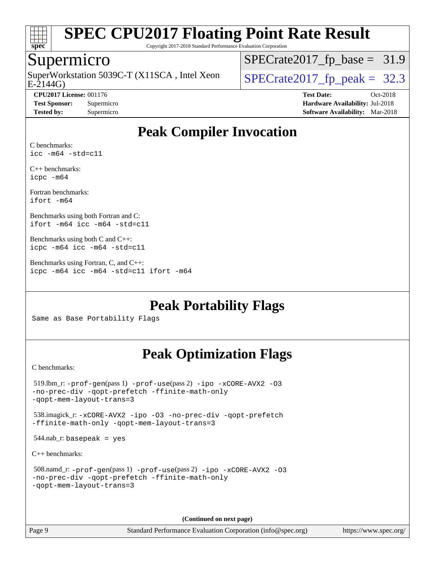

Copyright 2017-2018 Standard Performance Evaluation Corporation

#### Supermicro

SuperWorkstation 5039C-T (X11SCA, Intel Xeon<br>E-2144G)

[SPECrate2017\\_fp\\_base =](http://www.spec.org/auto/cpu2017/Docs/result-fields.html#SPECrate2017fpbase) 31.9

 $SPECTate2017_f p_peak = 32.3$ 

**[CPU2017 License:](http://www.spec.org/auto/cpu2017/Docs/result-fields.html#CPU2017License)** 001176 **[Test Date:](http://www.spec.org/auto/cpu2017/Docs/result-fields.html#TestDate)** Oct-2018 **[Test Sponsor:](http://www.spec.org/auto/cpu2017/Docs/result-fields.html#TestSponsor)** Supermicro **[Hardware Availability:](http://www.spec.org/auto/cpu2017/Docs/result-fields.html#HardwareAvailability)** Jul-2018 **[Tested by:](http://www.spec.org/auto/cpu2017/Docs/result-fields.html#Testedby)** Supermicro **[Software Availability:](http://www.spec.org/auto/cpu2017/Docs/result-fields.html#SoftwareAvailability)** Mar-2018

## **[Peak Compiler Invocation](http://www.spec.org/auto/cpu2017/Docs/result-fields.html#PeakCompilerInvocation)**

[C benchmarks:](http://www.spec.org/auto/cpu2017/Docs/result-fields.html#Cbenchmarks) [icc -m64 -std=c11](http://www.spec.org/cpu2017/results/res2018q4/cpu2017-20181029-09418.flags.html#user_CCpeak_intel_icc_64bit_c11_33ee0cdaae7deeeab2a9725423ba97205ce30f63b9926c2519791662299b76a0318f32ddfffdc46587804de3178b4f9328c46fa7c2b0cd779d7a61945c91cd35)

[C++ benchmarks:](http://www.spec.org/auto/cpu2017/Docs/result-fields.html#CXXbenchmarks) [icpc -m64](http://www.spec.org/cpu2017/results/res2018q4/cpu2017-20181029-09418.flags.html#user_CXXpeak_intel_icpc_64bit_4ecb2543ae3f1412ef961e0650ca070fec7b7afdcd6ed48761b84423119d1bf6bdf5cad15b44d48e7256388bc77273b966e5eb805aefd121eb22e9299b2ec9d9)

[Fortran benchmarks](http://www.spec.org/auto/cpu2017/Docs/result-fields.html#Fortranbenchmarks): [ifort -m64](http://www.spec.org/cpu2017/results/res2018q4/cpu2017-20181029-09418.flags.html#user_FCpeak_intel_ifort_64bit_24f2bb282fbaeffd6157abe4f878425411749daecae9a33200eee2bee2fe76f3b89351d69a8130dd5949958ce389cf37ff59a95e7a40d588e8d3a57e0c3fd751)

[Benchmarks using both Fortran and C:](http://www.spec.org/auto/cpu2017/Docs/result-fields.html#BenchmarksusingbothFortranandC) [ifort -m64](http://www.spec.org/cpu2017/results/res2018q4/cpu2017-20181029-09418.flags.html#user_CC_FCpeak_intel_ifort_64bit_24f2bb282fbaeffd6157abe4f878425411749daecae9a33200eee2bee2fe76f3b89351d69a8130dd5949958ce389cf37ff59a95e7a40d588e8d3a57e0c3fd751) [icc -m64 -std=c11](http://www.spec.org/cpu2017/results/res2018q4/cpu2017-20181029-09418.flags.html#user_CC_FCpeak_intel_icc_64bit_c11_33ee0cdaae7deeeab2a9725423ba97205ce30f63b9926c2519791662299b76a0318f32ddfffdc46587804de3178b4f9328c46fa7c2b0cd779d7a61945c91cd35)

[Benchmarks using both C and C++](http://www.spec.org/auto/cpu2017/Docs/result-fields.html#BenchmarksusingbothCandCXX): [icpc -m64](http://www.spec.org/cpu2017/results/res2018q4/cpu2017-20181029-09418.flags.html#user_CC_CXXpeak_intel_icpc_64bit_4ecb2543ae3f1412ef961e0650ca070fec7b7afdcd6ed48761b84423119d1bf6bdf5cad15b44d48e7256388bc77273b966e5eb805aefd121eb22e9299b2ec9d9) [icc -m64 -std=c11](http://www.spec.org/cpu2017/results/res2018q4/cpu2017-20181029-09418.flags.html#user_CC_CXXpeak_intel_icc_64bit_c11_33ee0cdaae7deeeab2a9725423ba97205ce30f63b9926c2519791662299b76a0318f32ddfffdc46587804de3178b4f9328c46fa7c2b0cd779d7a61945c91cd35)

[Benchmarks using Fortran, C, and C++:](http://www.spec.org/auto/cpu2017/Docs/result-fields.html#BenchmarksusingFortranCandCXX) [icpc -m64](http://www.spec.org/cpu2017/results/res2018q4/cpu2017-20181029-09418.flags.html#user_CC_CXX_FCpeak_intel_icpc_64bit_4ecb2543ae3f1412ef961e0650ca070fec7b7afdcd6ed48761b84423119d1bf6bdf5cad15b44d48e7256388bc77273b966e5eb805aefd121eb22e9299b2ec9d9) [icc -m64 -std=c11](http://www.spec.org/cpu2017/results/res2018q4/cpu2017-20181029-09418.flags.html#user_CC_CXX_FCpeak_intel_icc_64bit_c11_33ee0cdaae7deeeab2a9725423ba97205ce30f63b9926c2519791662299b76a0318f32ddfffdc46587804de3178b4f9328c46fa7c2b0cd779d7a61945c91cd35) [ifort -m64](http://www.spec.org/cpu2017/results/res2018q4/cpu2017-20181029-09418.flags.html#user_CC_CXX_FCpeak_intel_ifort_64bit_24f2bb282fbaeffd6157abe4f878425411749daecae9a33200eee2bee2fe76f3b89351d69a8130dd5949958ce389cf37ff59a95e7a40d588e8d3a57e0c3fd751)

**[Peak Portability Flags](http://www.spec.org/auto/cpu2017/Docs/result-fields.html#PeakPortabilityFlags)**

Same as Base Portability Flags

## **[Peak Optimization Flags](http://www.spec.org/auto/cpu2017/Docs/result-fields.html#PeakOptimizationFlags)**

[C benchmarks](http://www.spec.org/auto/cpu2017/Docs/result-fields.html#Cbenchmarks):

```
 519.lbm_r: -prof-gen(pass 1) -prof-use(pass 2) -ipo -xCORE-AVX2 -O3
-no-prec-div -qopt-prefetch -ffinite-math-only
-qopt-mem-layout-trans=3
 538.imagick_r: -xCORE-AVX2 -ipo -O3 -no-prec-div -qopt-prefetch
-ffinite-math-only -qopt-mem-layout-trans=3
544.nab_r: basepeak = yes
C++ benchmarks: 
 508.namd_r: -prof-gen(pass 1) -prof-use(pass 2) -ipo -xCORE-AVX2 -O3
-no-prec-div -qopt-prefetch -ffinite-math-only
-qopt-mem-layout-trans=3
```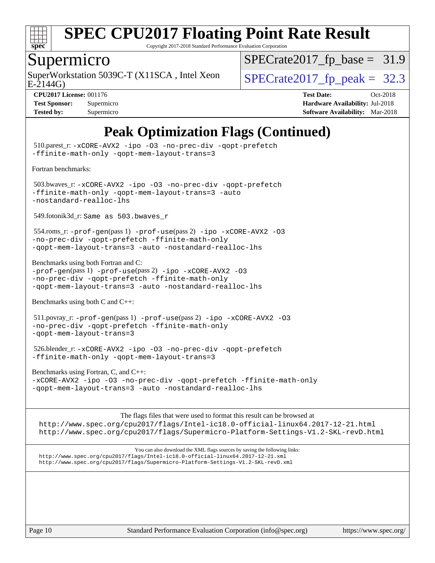

Copyright 2017-2018 Standard Performance Evaluation Corporation

#### Supermicro

SuperWorkstation 5039C-T (X11SCA, Intel Xeon  $SPECrate2017_fp\_peak = 32.3$ 

 $SPECTate2017_fp\_base = 31.9$ 

E-2144G)

**[Tested by:](http://www.spec.org/auto/cpu2017/Docs/result-fields.html#Testedby)** Supermicro **Supermicro [Software Availability:](http://www.spec.org/auto/cpu2017/Docs/result-fields.html#SoftwareAvailability)** Mar-2018

**[CPU2017 License:](http://www.spec.org/auto/cpu2017/Docs/result-fields.html#CPU2017License)** 001176 **[Test Date:](http://www.spec.org/auto/cpu2017/Docs/result-fields.html#TestDate)** Oct-2018 **[Test Sponsor:](http://www.spec.org/auto/cpu2017/Docs/result-fields.html#TestSponsor)** Supermicro **[Hardware Availability:](http://www.spec.org/auto/cpu2017/Docs/result-fields.html#HardwareAvailability)** Jul-2018

## **[Peak Optimization Flags \(Continued\)](http://www.spec.org/auto/cpu2017/Docs/result-fields.html#PeakOptimizationFlags)**

 510.parest\_r: [-xCORE-AVX2](http://www.spec.org/cpu2017/results/res2018q4/cpu2017-20181029-09418.flags.html#user_peakCXXOPTIMIZE510_parest_r_f-xCORE-AVX2) [-ipo](http://www.spec.org/cpu2017/results/res2018q4/cpu2017-20181029-09418.flags.html#user_peakCXXOPTIMIZE510_parest_r_f-ipo) [-O3](http://www.spec.org/cpu2017/results/res2018q4/cpu2017-20181029-09418.flags.html#user_peakCXXOPTIMIZE510_parest_r_f-O3) [-no-prec-div](http://www.spec.org/cpu2017/results/res2018q4/cpu2017-20181029-09418.flags.html#user_peakCXXOPTIMIZE510_parest_r_f-no-prec-div) [-qopt-prefetch](http://www.spec.org/cpu2017/results/res2018q4/cpu2017-20181029-09418.flags.html#user_peakCXXOPTIMIZE510_parest_r_f-qopt-prefetch) [-ffinite-math-only](http://www.spec.org/cpu2017/results/res2018q4/cpu2017-20181029-09418.flags.html#user_peakCXXOPTIMIZE510_parest_r_f_finite_math_only_cb91587bd2077682c4b38af759c288ed7c732db004271a9512da14a4f8007909a5f1427ecbf1a0fb78ff2a814402c6114ac565ca162485bbcae155b5e4258871) [-qopt-mem-layout-trans=3](http://www.spec.org/cpu2017/results/res2018q4/cpu2017-20181029-09418.flags.html#user_peakCXXOPTIMIZE510_parest_r_f-qopt-mem-layout-trans_de80db37974c74b1f0e20d883f0b675c88c3b01e9d123adea9b28688d64333345fb62bc4a798493513fdb68f60282f9a726aa07f478b2f7113531aecce732043) [Fortran benchmarks](http://www.spec.org/auto/cpu2017/Docs/result-fields.html#Fortranbenchmarks): 503.bwaves\_r: [-xCORE-AVX2](http://www.spec.org/cpu2017/results/res2018q4/cpu2017-20181029-09418.flags.html#user_peakFOPTIMIZE503_bwaves_r_f-xCORE-AVX2) [-ipo](http://www.spec.org/cpu2017/results/res2018q4/cpu2017-20181029-09418.flags.html#user_peakFOPTIMIZE503_bwaves_r_f-ipo) [-O3](http://www.spec.org/cpu2017/results/res2018q4/cpu2017-20181029-09418.flags.html#user_peakFOPTIMIZE503_bwaves_r_f-O3) [-no-prec-div](http://www.spec.org/cpu2017/results/res2018q4/cpu2017-20181029-09418.flags.html#user_peakFOPTIMIZE503_bwaves_r_f-no-prec-div) [-qopt-prefetch](http://www.spec.org/cpu2017/results/res2018q4/cpu2017-20181029-09418.flags.html#user_peakFOPTIMIZE503_bwaves_r_f-qopt-prefetch) [-ffinite-math-only](http://www.spec.org/cpu2017/results/res2018q4/cpu2017-20181029-09418.flags.html#user_peakFOPTIMIZE503_bwaves_r_f_finite_math_only_cb91587bd2077682c4b38af759c288ed7c732db004271a9512da14a4f8007909a5f1427ecbf1a0fb78ff2a814402c6114ac565ca162485bbcae155b5e4258871) [-qopt-mem-layout-trans=3](http://www.spec.org/cpu2017/results/res2018q4/cpu2017-20181029-09418.flags.html#user_peakFOPTIMIZE503_bwaves_r_f-qopt-mem-layout-trans_de80db37974c74b1f0e20d883f0b675c88c3b01e9d123adea9b28688d64333345fb62bc4a798493513fdb68f60282f9a726aa07f478b2f7113531aecce732043) [-auto](http://www.spec.org/cpu2017/results/res2018q4/cpu2017-20181029-09418.flags.html#user_peakFOPTIMIZE503_bwaves_r_f-auto) [-nostandard-realloc-lhs](http://www.spec.org/cpu2017/results/res2018q4/cpu2017-20181029-09418.flags.html#user_peakEXTRA_FOPTIMIZE503_bwaves_r_f_2003_std_realloc_82b4557e90729c0f113870c07e44d33d6f5a304b4f63d4c15d2d0f1fab99f5daaed73bdb9275d9ae411527f28b936061aa8b9c8f2d63842963b95c9dd6426b8a) 549.fotonik3d\_r: Same as 503.bwaves\_r 554.roms\_r: [-prof-gen](http://www.spec.org/cpu2017/results/res2018q4/cpu2017-20181029-09418.flags.html#user_peakPASS1_FFLAGSPASS1_LDFLAGS554_roms_r_prof_gen_5aa4926d6013ddb2a31985c654b3eb18169fc0c6952a63635c234f711e6e63dd76e94ad52365559451ec499a2cdb89e4dc58ba4c67ef54ca681ffbe1461d6b36)(pass 1) [-prof-use](http://www.spec.org/cpu2017/results/res2018q4/cpu2017-20181029-09418.flags.html#user_peakPASS2_FFLAGSPASS2_LDFLAGS554_roms_r_prof_use_1a21ceae95f36a2b53c25747139a6c16ca95bd9def2a207b4f0849963b97e94f5260e30a0c64f4bb623698870e679ca08317ef8150905d41bd88c6f78df73f19)(pass 2) [-ipo](http://www.spec.org/cpu2017/results/res2018q4/cpu2017-20181029-09418.flags.html#user_peakPASS1_FOPTIMIZEPASS2_FOPTIMIZE554_roms_r_f-ipo) [-xCORE-AVX2](http://www.spec.org/cpu2017/results/res2018q4/cpu2017-20181029-09418.flags.html#user_peakPASS2_FOPTIMIZE554_roms_r_f-xCORE-AVX2) [-O3](http://www.spec.org/cpu2017/results/res2018q4/cpu2017-20181029-09418.flags.html#user_peakPASS1_FOPTIMIZEPASS2_FOPTIMIZE554_roms_r_f-O3) [-no-prec-div](http://www.spec.org/cpu2017/results/res2018q4/cpu2017-20181029-09418.flags.html#user_peakPASS1_FOPTIMIZEPASS2_FOPTIMIZE554_roms_r_f-no-prec-div) [-qopt-prefetch](http://www.spec.org/cpu2017/results/res2018q4/cpu2017-20181029-09418.flags.html#user_peakPASS1_FOPTIMIZEPASS2_FOPTIMIZE554_roms_r_f-qopt-prefetch) [-ffinite-math-only](http://www.spec.org/cpu2017/results/res2018q4/cpu2017-20181029-09418.flags.html#user_peakPASS1_FOPTIMIZEPASS2_FOPTIMIZE554_roms_r_f_finite_math_only_cb91587bd2077682c4b38af759c288ed7c732db004271a9512da14a4f8007909a5f1427ecbf1a0fb78ff2a814402c6114ac565ca162485bbcae155b5e4258871) [-qopt-mem-layout-trans=3](http://www.spec.org/cpu2017/results/res2018q4/cpu2017-20181029-09418.flags.html#user_peakPASS1_FOPTIMIZEPASS2_FOPTIMIZE554_roms_r_f-qopt-mem-layout-trans_de80db37974c74b1f0e20d883f0b675c88c3b01e9d123adea9b28688d64333345fb62bc4a798493513fdb68f60282f9a726aa07f478b2f7113531aecce732043) [-auto](http://www.spec.org/cpu2017/results/res2018q4/cpu2017-20181029-09418.flags.html#user_peakPASS2_FOPTIMIZE554_roms_r_f-auto) [-nostandard-realloc-lhs](http://www.spec.org/cpu2017/results/res2018q4/cpu2017-20181029-09418.flags.html#user_peakEXTRA_FOPTIMIZE554_roms_r_f_2003_std_realloc_82b4557e90729c0f113870c07e44d33d6f5a304b4f63d4c15d2d0f1fab99f5daaed73bdb9275d9ae411527f28b936061aa8b9c8f2d63842963b95c9dd6426b8a) [Benchmarks using both Fortran and C](http://www.spec.org/auto/cpu2017/Docs/result-fields.html#BenchmarksusingbothFortranandC): [-prof-gen](http://www.spec.org/cpu2017/results/res2018q4/cpu2017-20181029-09418.flags.html#user_CC_FCpeak_prof_gen_5aa4926d6013ddb2a31985c654b3eb18169fc0c6952a63635c234f711e6e63dd76e94ad52365559451ec499a2cdb89e4dc58ba4c67ef54ca681ffbe1461d6b36)(pass 1) [-prof-use](http://www.spec.org/cpu2017/results/res2018q4/cpu2017-20181029-09418.flags.html#user_CC_FCpeak_prof_use_1a21ceae95f36a2b53c25747139a6c16ca95bd9def2a207b4f0849963b97e94f5260e30a0c64f4bb623698870e679ca08317ef8150905d41bd88c6f78df73f19)(pass 2) [-ipo](http://www.spec.org/cpu2017/results/res2018q4/cpu2017-20181029-09418.flags.html#user_CC_FCpeak_f-ipo) [-xCORE-AVX2](http://www.spec.org/cpu2017/results/res2018q4/cpu2017-20181029-09418.flags.html#user_CC_FCpeak_f-xCORE-AVX2) [-O3](http://www.spec.org/cpu2017/results/res2018q4/cpu2017-20181029-09418.flags.html#user_CC_FCpeak_f-O3) [-no-prec-div](http://www.spec.org/cpu2017/results/res2018q4/cpu2017-20181029-09418.flags.html#user_CC_FCpeak_f-no-prec-div) [-qopt-prefetch](http://www.spec.org/cpu2017/results/res2018q4/cpu2017-20181029-09418.flags.html#user_CC_FCpeak_f-qopt-prefetch) [-ffinite-math-only](http://www.spec.org/cpu2017/results/res2018q4/cpu2017-20181029-09418.flags.html#user_CC_FCpeak_f_finite_math_only_cb91587bd2077682c4b38af759c288ed7c732db004271a9512da14a4f8007909a5f1427ecbf1a0fb78ff2a814402c6114ac565ca162485bbcae155b5e4258871) [-qopt-mem-layout-trans=3](http://www.spec.org/cpu2017/results/res2018q4/cpu2017-20181029-09418.flags.html#user_CC_FCpeak_f-qopt-mem-layout-trans_de80db37974c74b1f0e20d883f0b675c88c3b01e9d123adea9b28688d64333345fb62bc4a798493513fdb68f60282f9a726aa07f478b2f7113531aecce732043) [-auto](http://www.spec.org/cpu2017/results/res2018q4/cpu2017-20181029-09418.flags.html#user_CC_FCpeak_f-auto) [-nostandard-realloc-lhs](http://www.spec.org/cpu2017/results/res2018q4/cpu2017-20181029-09418.flags.html#user_CC_FCpeak_f_2003_std_realloc_82b4557e90729c0f113870c07e44d33d6f5a304b4f63d4c15d2d0f1fab99f5daaed73bdb9275d9ae411527f28b936061aa8b9c8f2d63842963b95c9dd6426b8a) [Benchmarks using both C and C++](http://www.spec.org/auto/cpu2017/Docs/result-fields.html#BenchmarksusingbothCandCXX): 511.povray\_r: [-prof-gen](http://www.spec.org/cpu2017/results/res2018q4/cpu2017-20181029-09418.flags.html#user_peakPASS1_CFLAGSPASS1_CXXFLAGSPASS1_LDFLAGS511_povray_r_prof_gen_5aa4926d6013ddb2a31985c654b3eb18169fc0c6952a63635c234f711e6e63dd76e94ad52365559451ec499a2cdb89e4dc58ba4c67ef54ca681ffbe1461d6b36)(pass 1) [-prof-use](http://www.spec.org/cpu2017/results/res2018q4/cpu2017-20181029-09418.flags.html#user_peakPASS2_CFLAGSPASS2_CXXFLAGSPASS2_LDFLAGS511_povray_r_prof_use_1a21ceae95f36a2b53c25747139a6c16ca95bd9def2a207b4f0849963b97e94f5260e30a0c64f4bb623698870e679ca08317ef8150905d41bd88c6f78df73f19)(pass 2) [-ipo](http://www.spec.org/cpu2017/results/res2018q4/cpu2017-20181029-09418.flags.html#user_peakPASS1_COPTIMIZEPASS1_CXXOPTIMIZEPASS2_COPTIMIZEPASS2_CXXOPTIMIZE511_povray_r_f-ipo) [-xCORE-AVX2](http://www.spec.org/cpu2017/results/res2018q4/cpu2017-20181029-09418.flags.html#user_peakPASS2_COPTIMIZEPASS2_CXXOPTIMIZE511_povray_r_f-xCORE-AVX2) [-O3](http://www.spec.org/cpu2017/results/res2018q4/cpu2017-20181029-09418.flags.html#user_peakPASS1_COPTIMIZEPASS1_CXXOPTIMIZEPASS2_COPTIMIZEPASS2_CXXOPTIMIZE511_povray_r_f-O3) [-no-prec-div](http://www.spec.org/cpu2017/results/res2018q4/cpu2017-20181029-09418.flags.html#user_peakPASS1_COPTIMIZEPASS1_CXXOPTIMIZEPASS2_COPTIMIZEPASS2_CXXOPTIMIZE511_povray_r_f-no-prec-div) [-qopt-prefetch](http://www.spec.org/cpu2017/results/res2018q4/cpu2017-20181029-09418.flags.html#user_peakPASS1_COPTIMIZEPASS1_CXXOPTIMIZEPASS2_COPTIMIZEPASS2_CXXOPTIMIZE511_povray_r_f-qopt-prefetch) [-ffinite-math-only](http://www.spec.org/cpu2017/results/res2018q4/cpu2017-20181029-09418.flags.html#user_peakPASS1_COPTIMIZEPASS1_CXXOPTIMIZEPASS2_COPTIMIZEPASS2_CXXOPTIMIZE511_povray_r_f_finite_math_only_cb91587bd2077682c4b38af759c288ed7c732db004271a9512da14a4f8007909a5f1427ecbf1a0fb78ff2a814402c6114ac565ca162485bbcae155b5e4258871) [-qopt-mem-layout-trans=3](http://www.spec.org/cpu2017/results/res2018q4/cpu2017-20181029-09418.flags.html#user_peakPASS1_COPTIMIZEPASS1_CXXOPTIMIZEPASS2_COPTIMIZEPASS2_CXXOPTIMIZE511_povray_r_f-qopt-mem-layout-trans_de80db37974c74b1f0e20d883f0b675c88c3b01e9d123adea9b28688d64333345fb62bc4a798493513fdb68f60282f9a726aa07f478b2f7113531aecce732043) 526.blender\_r: [-xCORE-AVX2](http://www.spec.org/cpu2017/results/res2018q4/cpu2017-20181029-09418.flags.html#user_peakCOPTIMIZECXXOPTIMIZE526_blender_r_f-xCORE-AVX2) [-ipo](http://www.spec.org/cpu2017/results/res2018q4/cpu2017-20181029-09418.flags.html#user_peakCOPTIMIZECXXOPTIMIZE526_blender_r_f-ipo) [-O3](http://www.spec.org/cpu2017/results/res2018q4/cpu2017-20181029-09418.flags.html#user_peakCOPTIMIZECXXOPTIMIZE526_blender_r_f-O3) [-no-prec-div](http://www.spec.org/cpu2017/results/res2018q4/cpu2017-20181029-09418.flags.html#user_peakCOPTIMIZECXXOPTIMIZE526_blender_r_f-no-prec-div) [-qopt-prefetch](http://www.spec.org/cpu2017/results/res2018q4/cpu2017-20181029-09418.flags.html#user_peakCOPTIMIZECXXOPTIMIZE526_blender_r_f-qopt-prefetch) [-ffinite-math-only](http://www.spec.org/cpu2017/results/res2018q4/cpu2017-20181029-09418.flags.html#user_peakCOPTIMIZECXXOPTIMIZE526_blender_r_f_finite_math_only_cb91587bd2077682c4b38af759c288ed7c732db004271a9512da14a4f8007909a5f1427ecbf1a0fb78ff2a814402c6114ac565ca162485bbcae155b5e4258871) [-qopt-mem-layout-trans=3](http://www.spec.org/cpu2017/results/res2018q4/cpu2017-20181029-09418.flags.html#user_peakCOPTIMIZECXXOPTIMIZE526_blender_r_f-qopt-mem-layout-trans_de80db37974c74b1f0e20d883f0b675c88c3b01e9d123adea9b28688d64333345fb62bc4a798493513fdb68f60282f9a726aa07f478b2f7113531aecce732043) [Benchmarks using Fortran, C, and C++:](http://www.spec.org/auto/cpu2017/Docs/result-fields.html#BenchmarksusingFortranCandCXX) [-xCORE-AVX2](http://www.spec.org/cpu2017/results/res2018q4/cpu2017-20181029-09418.flags.html#user_CC_CXX_FCpeak_f-xCORE-AVX2) [-ipo](http://www.spec.org/cpu2017/results/res2018q4/cpu2017-20181029-09418.flags.html#user_CC_CXX_FCpeak_f-ipo) [-O3](http://www.spec.org/cpu2017/results/res2018q4/cpu2017-20181029-09418.flags.html#user_CC_CXX_FCpeak_f-O3) [-no-prec-div](http://www.spec.org/cpu2017/results/res2018q4/cpu2017-20181029-09418.flags.html#user_CC_CXX_FCpeak_f-no-prec-div) [-qopt-prefetch](http://www.spec.org/cpu2017/results/res2018q4/cpu2017-20181029-09418.flags.html#user_CC_CXX_FCpeak_f-qopt-prefetch) [-ffinite-math-only](http://www.spec.org/cpu2017/results/res2018q4/cpu2017-20181029-09418.flags.html#user_CC_CXX_FCpeak_f_finite_math_only_cb91587bd2077682c4b38af759c288ed7c732db004271a9512da14a4f8007909a5f1427ecbf1a0fb78ff2a814402c6114ac565ca162485bbcae155b5e4258871) [-qopt-mem-layout-trans=3](http://www.spec.org/cpu2017/results/res2018q4/cpu2017-20181029-09418.flags.html#user_CC_CXX_FCpeak_f-qopt-mem-layout-trans_de80db37974c74b1f0e20d883f0b675c88c3b01e9d123adea9b28688d64333345fb62bc4a798493513fdb68f60282f9a726aa07f478b2f7113531aecce732043) [-auto](http://www.spec.org/cpu2017/results/res2018q4/cpu2017-20181029-09418.flags.html#user_CC_CXX_FCpeak_f-auto) [-nostandard-realloc-lhs](http://www.spec.org/cpu2017/results/res2018q4/cpu2017-20181029-09418.flags.html#user_CC_CXX_FCpeak_f_2003_std_realloc_82b4557e90729c0f113870c07e44d33d6f5a304b4f63d4c15d2d0f1fab99f5daaed73bdb9275d9ae411527f28b936061aa8b9c8f2d63842963b95c9dd6426b8a) The flags files that were used to format this result can be browsed at <http://www.spec.org/cpu2017/flags/Intel-ic18.0-official-linux64.2017-12-21.html> <http://www.spec.org/cpu2017/flags/Supermicro-Platform-Settings-V1.2-SKL-revD.html>

You can also download the XML flags sources by saving the following links: <http://www.spec.org/cpu2017/flags/Intel-ic18.0-official-linux64.2017-12-21.xml> <http://www.spec.org/cpu2017/flags/Supermicro-Platform-Settings-V1.2-SKL-revD.xml>